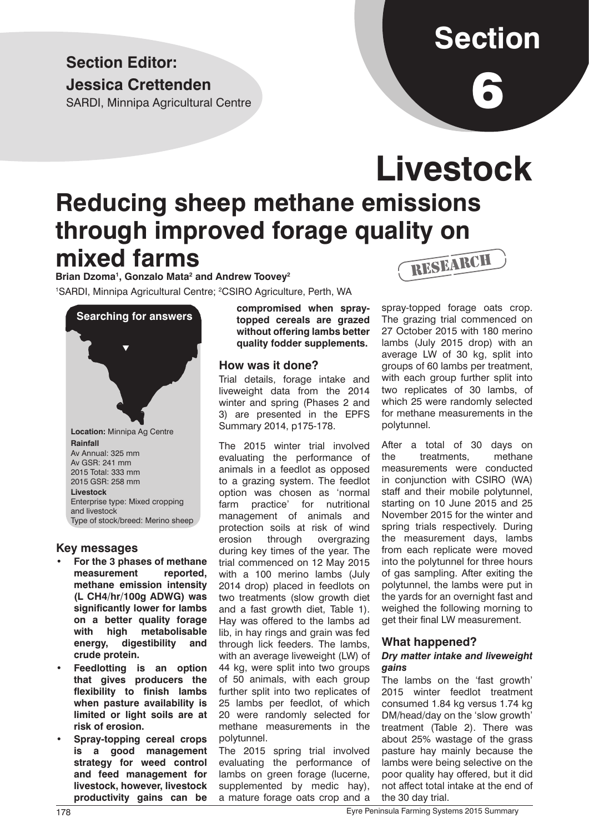### **Section Editor: Jessica Crettenden**

SARDI, Minnipa Agricultural Centre

# **Section**

6

## **Livestock Reducing sheep methane emissions through improved forage quality on mixed farms** RESEARCH

Brian Dzoma<sup>1</sup>, Gonzalo Mata<sup>2</sup> and Andrew Toovey<sup>2</sup> <sup>1</sup>SARDI, Minnipa Agricultural Centre; <sup>2</sup>CSIRO Agriculture, Perth, WA



#### **Key messages**

- **For the 3 phases of methane measurement reported, methane emission intensity (L CH4/hr/100g ADWG) was significantly lower for lambs on a better quality forage with high metabolisable energy, digestibility and crude protein.**
- **Feedlotting is an option that gives producers the flexibility to finish lambs when pasture availability is limited or light soils are at risk of erosion.**
- **Spray-topping cereal crops is a good management strategy for weed control and feed management for livestock, however, livestock productivity gains can be**

**compromised when spraytopped cereals are grazed without offering lambs better quality fodder supplements.**

#### **How was it done?**

Trial details, forage intake and liveweight data from the 2014 winter and spring (Phases 2 and 3) are presented in the EPFS Summary 2014, p175-178.

The 2015 winter trial involved evaluating the performance of animals in a feedlot as opposed to a grazing system. The feedlot option was chosen as 'normal farm practice' for nutritional management of animals and protection soils at risk of wind erosion through overgrazing during key times of the year. The trial commenced on 12 May 2015 with a 100 merino lambs (July 2014 drop) placed in feedlots on two treatments (slow growth diet and a fast growth diet, Table 1). Hay was offered to the lambs ad lib, in hay rings and grain was fed through lick feeders. The lambs, with an average liveweight (LW) of 44 kg, were split into two groups of 50 animals, with each group further split into two replicates of 25 lambs per feedlot, of which 20 were randomly selected for methane measurements in the polytunnel.

The 2015 spring trial involved evaluating the performance of lambs on green forage (lucerne, supplemented by medic hay), a mature forage oats crop and a

spray-topped forage oats crop. The grazing trial commenced on 27 October 2015 with 180 merino lambs (July 2015 drop) with an average LW of 30 kg, split into groups of 60 lambs per treatment, with each group further split into two replicates of 30 lambs, of which 25 were randomly selected for methane measurements in the polytunnel.

After a total of 30 days on the treatments, methane measurements were conducted in conjunction with CSIRO (WA) staff and their mobile polytunnel, starting on 10 June 2015 and 25 November 2015 for the winter and spring trials respectively. During the measurement days, lambs from each replicate were moved into the polytunnel for three hours of gas sampling. After exiting the polytunnel, the lambs were put in the yards for an overnight fast and weighed the following morning to get their final LW measurement.

#### **What happened?**

#### *Dry matter intake and liveweight gains*

The lambs on the 'fast growth' 2015 winter feedlot treatment consumed 1.84 kg versus 1.74 kg DM/head/day on the 'slow growth' treatment (Table 2). There was about 25% wastage of the grass pasture hay mainly because the lambs were being selective on the poor quality hay offered, but it did not affect total intake at the end of the 30 day trial.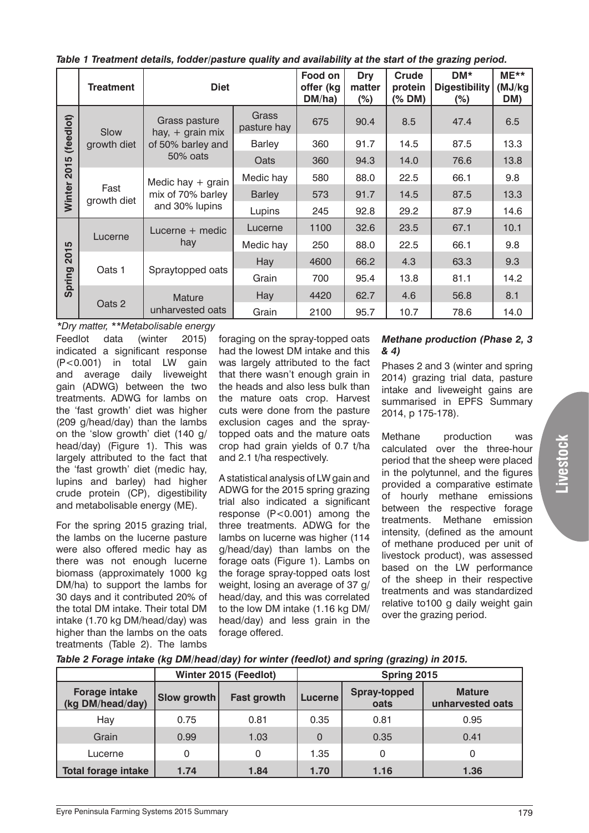| Table T freatment details, fodder/pasture quality and availability at the start of the grazing period. |                     |                                                                      |                      |                                |                         |                                                                                                                                                                                                                                                                                                                                                                                                                                                                   |                                       |                         |  |  |
|--------------------------------------------------------------------------------------------------------|---------------------|----------------------------------------------------------------------|----------------------|--------------------------------|-------------------------|-------------------------------------------------------------------------------------------------------------------------------------------------------------------------------------------------------------------------------------------------------------------------------------------------------------------------------------------------------------------------------------------------------------------------------------------------------------------|---------------------------------------|-------------------------|--|--|
|                                                                                                        | <b>Treatment</b>    | <b>Diet</b>                                                          |                      | Food on<br>offer (kg<br>DM/ha) | Dry<br>matter<br>$(\%)$ | <b>Crude</b><br>protein<br>$(%$ $\mathbb{R}$ $\rightarrow$ $\mathbb{R}$ $\rightarrow$ $\mathbb{R}$ $\rightarrow$ $\mathbb{R}$ $\rightarrow$ $\mathbb{R}$ $\rightarrow$ $\mathbb{R}$ $\rightarrow$ $\mathbb{R}$ $\rightarrow$ $\mathbb{R}$ $\rightarrow$ $\mathbb{R}$ $\rightarrow$ $\mathbb{R}$ $\rightarrow$ $\mathbb{R}$ $\rightarrow$ $\mathbb{R}$ $\rightarrow$ $\mathbb{R}$ $\rightarrow$ $\mathbb{R}$ $\rightarrow$ $\mathbb{R}$ $\rightarrow$ $\mathbb{R}$ | DM*<br><b>Digestibility</b><br>$(\%)$ | $ME**$<br>(MJ/kg<br>DM) |  |  |
| (feedlot)<br>2015<br>Winter                                                                            | Slow<br>growth diet | Grass pasture<br>hay, $+$ grain mix<br>of 50% barley and<br>50% oats | Grass<br>pasture hay | 675                            | 90.4                    | 8.5                                                                                                                                                                                                                                                                                                                                                                                                                                                               | 47.4                                  | 6.5                     |  |  |
|                                                                                                        |                     |                                                                      | <b>Barley</b>        | 360                            | 91.7                    | 14.5                                                                                                                                                                                                                                                                                                                                                                                                                                                              | 87.5                                  | 13.3                    |  |  |
|                                                                                                        |                     |                                                                      | Oats                 | 360                            | 94.3                    | 14.0                                                                                                                                                                                                                                                                                                                                                                                                                                                              | 76.6                                  | 13.8                    |  |  |
|                                                                                                        | Fast<br>growth diet | Medic hay $+$ grain<br>mix of 70% barley<br>and 30% lupins           | Medic hay            | 580                            | 88.0                    | 22.5                                                                                                                                                                                                                                                                                                                                                                                                                                                              | 66.1                                  | 9.8                     |  |  |
|                                                                                                        |                     |                                                                      | <b>Barley</b>        | 573                            | 91.7                    | 14.5                                                                                                                                                                                                                                                                                                                                                                                                                                                              | 87.5                                  | 13.3                    |  |  |
|                                                                                                        |                     |                                                                      | Lupins               | 245                            | 92.8                    | 29.2                                                                                                                                                                                                                                                                                                                                                                                                                                                              | 87.9                                  | 14.6                    |  |  |
| 2015<br>Spring                                                                                         | Lucerne             | Lucerne + medic<br>hay                                               | Lucerne              | 1100                           | 32.6                    | 23.5                                                                                                                                                                                                                                                                                                                                                                                                                                                              | 67.1                                  | 10.1                    |  |  |
|                                                                                                        |                     |                                                                      | Medic hay            | 250                            | 88.0                    | 22.5                                                                                                                                                                                                                                                                                                                                                                                                                                                              | 66.1                                  | 9.8                     |  |  |
|                                                                                                        | Oats 1              | Spraytopped oats                                                     | Hay                  | 4600                           | 66.2                    | 4.3                                                                                                                                                                                                                                                                                                                                                                                                                                                               | 63.3                                  | 9.3                     |  |  |
|                                                                                                        |                     |                                                                      | Grain                | 700                            | 95.4                    | 13.8                                                                                                                                                                                                                                                                                                                                                                                                                                                              | 81.1                                  | 14.2                    |  |  |
|                                                                                                        | Oats 2              | Mature<br>unharvested oats                                           | Hay                  | 4420                           | 62.7                    | 4.6                                                                                                                                                                                                                                                                                                                                                                                                                                                               | 56.8                                  | 8.1                     |  |  |
|                                                                                                        |                     |                                                                      | Grain                | 2100                           | 95.7                    | 10.7                                                                                                                                                                                                                                                                                                                                                                                                                                                              | 78.6                                  | 14.0                    |  |  |

*Table 1 Treatment details, fodder/pasture quality and availability at the start of the grazing period.*

*\*Dry matter, \*\*Metabolisable energy* 

Feedlot data (winter 2015) indicated a significant response (P<0.001) in total LW gain and average daily liveweight gain (ADWG) between the two treatments. ADWG for lambs on the 'fast growth' diet was higher (209 g/head/day) than the lambs on the 'slow growth' diet (140 g/ head/day) (Figure 1). This was largely attributed to the fact that the 'fast growth' diet (medic hay, lupins and barley) had higher crude protein (CP), digestibility and metabolisable energy (ME).

For the spring 2015 grazing trial. the lambs on the lucerne pasture were also offered medic hay as there was not enough lucerne biomass (approximately 1000 kg DM/ha) to support the lambs for 30 days and it contributed 20% of the total DM intake. Their total DM intake (1.70 kg DM/head/day) was higher than the lambs on the oats treatments (Table 2). The lambs

foraging on the spray-topped oats had the lowest DM intake and this was largely attributed to the fact that there wasn't enough grain in the heads and also less bulk than the mature oats crop. Harvest cuts were done from the pasture exclusion cages and the spraytopped oats and the mature oats crop had grain yields of 0.7 t/ha and 2.1 t/ha respectively.

A statistical analysis of LW gain and ADWG for the 2015 spring grazing trial also indicated a significant response (P<0.001) among the three treatments. ADWG for the lambs on lucerne was higher (114 g/head/day) than lambs on the forage oats (Figure 1). Lambs on the forage spray-topped oats lost weight, losing an average of 37 g/ head/day, and this was correlated to the low DM intake (1.16 kg DM/ head/day) and less grain in the forage offered.

#### *Methane production (Phase 2, 3 & 4)*

Phases 2 and 3 (winter and spring 2014) grazing trial data, pasture intake and liveweight gains are summarised in EPFS Summary 2014, p 175-178).

Methane production was calculated over the three-hour period that the sheep were placed in the polytunnel, and the figures provided a comparative estimate of hourly methane emissions between the respective forage treatments. Methane emission intensity, (defined as the amount of methane produced per unit of livestock product), was assessed based on the LW performance of the sheep in their respective treatments and was standardized relative to100 g daily weight gain over the grazing period.

| Table 2 Forage intake (kg DM/head/day) for winter (feedlot) and spring (grazing) in 2015. |  |
|-------------------------------------------------------------------------------------------|--|
|                                                                                           |  |
|                                                                                           |  |

|                                          | Winter 2015 (Feedlot) |                    | Spring 2015    |                             |                                   |  |
|------------------------------------------|-----------------------|--------------------|----------------|-----------------------------|-----------------------------------|--|
| <b>Forage intake</b><br>(kg DM/head/day) | Slow growth           | <b>Fast growth</b> | <b>Lucerne</b> | <b>Spray-topped</b><br>oats | <b>Mature</b><br>unharvested oats |  |
| Hay                                      | 0.75                  | 0.81               | 0.35           | 0.81                        | 0.95                              |  |
| Grain                                    | 0.99                  | 1.03               | 0              | 0.35                        | 0.41                              |  |
| Lucerne                                  | 0                     | 0                  | 1.35           | $\mathbf 0$                 | 0                                 |  |
| <b>Total forage intake</b>               | 1.74                  | 1.84               | 1.70           | 1.16                        | 1.36                              |  |